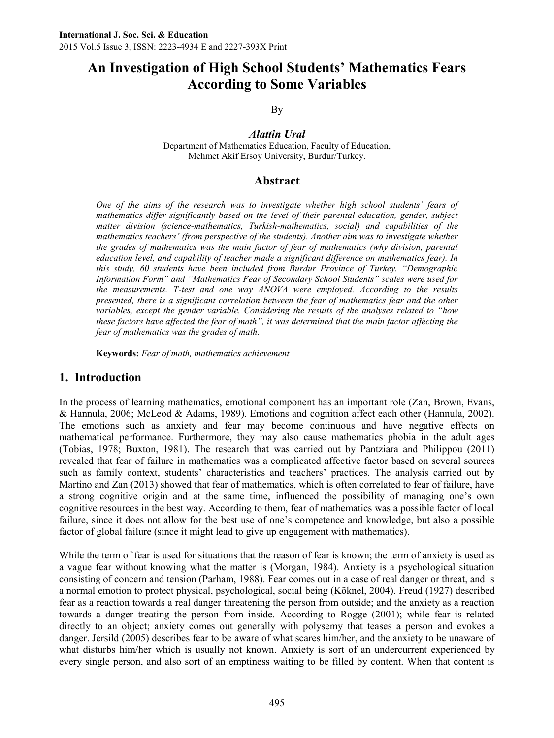# **An Investigation of High School Students' Mathematics Fears According to Some Variables**

By

*Alattin Ural*

Department of Mathematics Education, Faculty of Education, Mehmet Akif Ersoy University, Burdur/Turkey.

# **Abstract**

*One of the aims of the research was to investigate whether high school students' fears of mathematics differ significantly based on the level of their parental education, gender, subject matter division (science-mathematics, Turkish-mathematics, social) and capabilities of the mathematics teachers' (from perspective of the students). Another aim was to investigate whether the grades of mathematics was the main factor of fear of mathematics (why division, parental education level, and capability of teacher made a significant difference on mathematics fear). In this study, 60 students have been included from Burdur Province of Turkey. "Demographic Information Form" and "Mathematics Fear of Secondary School Students" scales were used for the measurements. T-test and one way ANOVA were employed. According to the results presented, there is a significant correlation between the fear of mathematics fear and the other variables, except the gender variable. Considering the results of the analyses related to "how these factors have affected the fear of math", it was determined that the main factor affecting the fear of mathematics was the grades of math.*

**Keywords:** *Fear of math, mathematics achievement*

# **1. Introduction**

In the process of learning mathematics, emotional component has an important role (Zan, Brown, Evans, & Hannula, 2006; McLeod & Adams, 1989). Emotions and cognition affect each other (Hannula, 2002). The emotions such as anxiety and fear may become continuous and have negative effects on mathematical performance. Furthermore, they may also cause mathematics phobia in the adult ages (Tobias, 1978; Buxton, 1981). The research that was carried out by Pantziara and Philippou (2011) revealed that fear of failure in mathematics was a complicated affective factor based on several sources such as family context, students' characteristics and teachers' practices. The analysis carried out by Martino and Zan (2013) showed that fear of mathematics, which is often correlated to fear of failure, have a strong cognitive origin and at the same time, influenced the possibility of managing one's own cognitive resources in the best way. According to them, fear of mathematics was a possible factor of local failure, since it does not allow for the best use of one's competence and knowledge, but also a possible factor of global failure (since it might lead to give up engagement with mathematics).

While the term of fear is used for situations that the reason of fear is known; the term of anxiety is used as a vague fear without knowing what the matter is (Morgan, 1984). Anxiety is a psychological situation consisting of concern and tension (Parham, 1988). Fear comes out in a case of real danger or threat, and is a normal emotion to protect physical, psychological, social being (Köknel, 2004). Freud (1927) described fear as a reaction towards a real danger threatening the person from outside; and the anxiety as a reaction towards a danger treating the person from inside. According to Rogge (2001); while fear is related directly to an object; anxiety comes out generally with polysemy that teases a person and evokes a danger. Jersild (2005) describes fear to be aware of what scares him/her, and the anxiety to be unaware of what disturbs him/her which is usually not known. Anxiety is sort of an undercurrent experienced by every single person, and also sort of an emptiness waiting to be filled by content. When that content is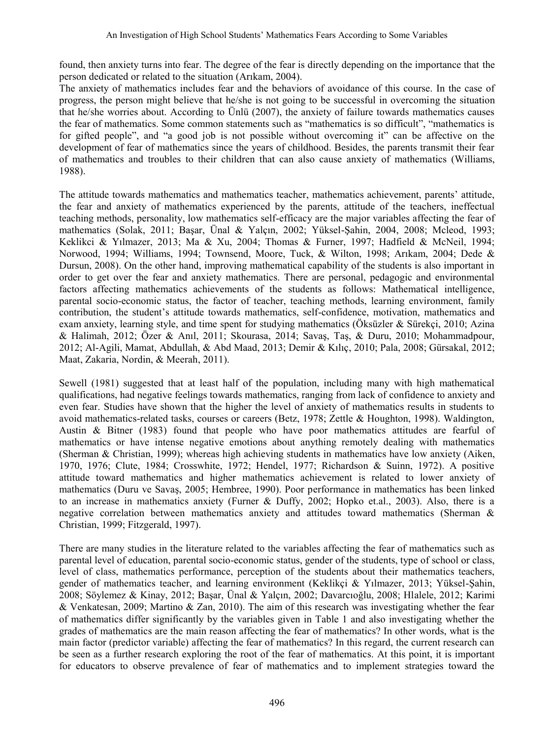found, then anxiety turns into fear. The degree of the fear is directly depending on the importance that the person dedicated or related to the situation (Arıkam, 2004).

The anxiety of mathematics includes fear and the behaviors of avoidance of this course. In the case of progress, the person might believe that he/she is not going to be successful in overcoming the situation that he/she worries about. According to Ünlü (2007), the anxiety of failure towards mathematics causes the fear of mathematics. Some common statements such as "mathematics is so difficult", "mathematics is for gifted people", and "a good job is not possible without overcoming it" can be affective on the development of fear of mathematics since the years of childhood. Besides, the parents transmit their fear of mathematics and troubles to their children that can also cause anxiety of mathematics (Williams, 1988).

The attitude towards mathematics and mathematics teacher, mathematics achievement, parents' attitude, the fear and anxiety of mathematics experienced by the parents, attitude of the teachers, ineffectual teaching methods, personality, low mathematics self-efficacy are the major variables affecting the fear of mathematics (Solak, 2011; Başar, Ünal & Yalçın, 2002; Yüksel-Şahin, 2004, 2008; Mcleod, 1993; Keklikci & Yılmazer, 2013; Ma & Xu, 2004; Thomas & Furner, 1997; Hadfield & McNeil, 1994; Norwood, 1994; Williams, 1994; Townsend, Moore, Tuck, & Wilton, 1998; Arıkam, 2004; Dede & Dursun, 2008). On the other hand, improving mathematical capability of the students is also important in order to get over the fear and anxiety mathematics. There are personal, pedagogic and environmental factors affecting mathematics achievements of the students as follows: Mathematical intelligence, parental socio-economic status, the factor of teacher, teaching methods, learning environment, family contribution, the student's attitude towards mathematics, self-confidence, motivation, mathematics and exam anxiety, learning style, and time spent for studying mathematics (Öksüzler & Sürekçi, 2010; Azina & Halimah, 2012; Özer & Anıl, 2011; Skourasa, 2014; Savaş, Taş, & Duru, 2010; Mohammadpour, 2012; Al-Agili, Mamat, Abdullah, & Abd Maad, 2013; Demir & Kılıç, 2010; Pala, 2008; Gürsakal, 2012; Maat, Zakaria, Nordin, & Meerah, 2011).

Sewell (1981) suggested that at least half of the population, including many with high mathematical qualifications, had negative feelings towards mathematics, ranging from lack of confidence to anxiety and even fear. Studies have shown that the higher the level of anxiety of mathematics results in students to avoid mathematics-related tasks, courses or careers (Betz, 1978; Zettle & Houghton, 1998). Waldington, Austin & Bitner (1983) found that people who have poor mathematics attitudes are fearful of mathematics or have intense negative emotions about anything remotely dealing with mathematics (Sherman & Christian, 1999); whereas high achieving students in mathematics have low anxiety (Aiken, 1970, 1976; Clute, 1984; Crosswhite, 1972; Hendel, 1977; Richardson & Suinn, 1972). A positive attitude toward mathematics and higher mathematics achievement is related to lower anxiety of mathematics (Duru ve Savaş, 2005; Hembree, 1990). Poor performance in mathematics has been linked to an increase in mathematics anxiety (Furner & Duffy, 2002; Hopko et.al., 2003). Also, there is a negative correlation between mathematics anxiety and attitudes toward mathematics (Sherman & Christian, 1999; Fitzgerald, 1997).

There are many studies in the literature related to the variables affecting the fear of mathematics such as parental level of education, parental socio-economic status, gender of the students, type of school or class, level of class, mathematics performance, perception of the students about their mathematics teachers, gender of mathematics teacher, and learning environment (Keklikçi & Yılmazer, 2013; Yüksel-Şahin, 2008; Söylemez & Kinay, 2012; Başar, Ünal & Yalçın, 2002; Davarcıoğlu, 2008; Hlalele, 2012; Karimi & Venkatesan, 2009; Martino & Zan, 2010). The aim of this research was investigating whether the fear of mathematics differ significantly by the variables given in Table 1 and also investigating whether the grades of mathematics are the main reason affecting the fear of mathematics? In other words, what is the main factor (predictor variable) affecting the fear of mathematics? In this regard, the current research can be seen as a further research exploring the root of the fear of mathematics. At this point, it is important for educators to observe prevalence of fear of mathematics and to implement strategies toward the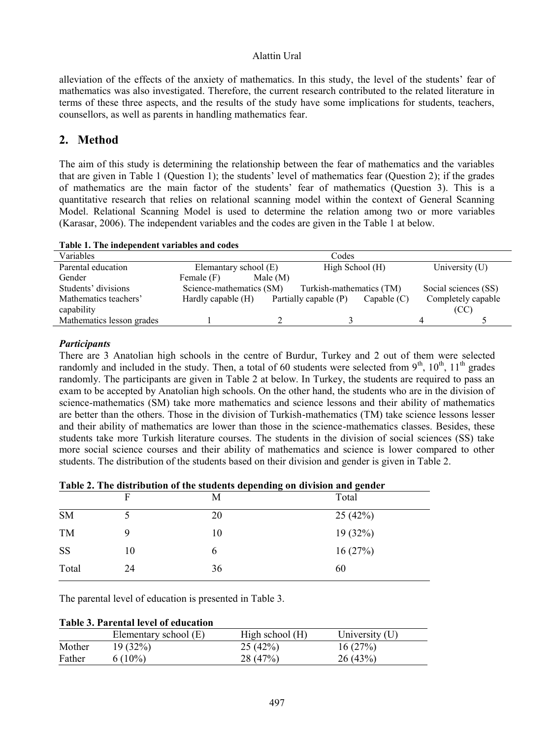alleviation of the effects of the anxiety of mathematics. In this study, the level of the students' fear of mathematics was also investigated. Therefore, the current research contributed to the related literature in terms of these three aspects, and the results of the study have some implications for students, teachers, counsellors, as well as parents in handling mathematics fear.

# **2. Method**

The aim of this study is determining the relationship between the fear of mathematics and the variables that are given in Table 1 (Question 1); the students' level of mathematics fear (Question 2); if the grades of mathematics are the main factor of the students' fear of mathematics (Question 3). This is a quantitative research that relies on relational scanning model within the context of General Scanning Model. Relational Scanning Model is used to determine the relation among two or more variables (Karasar, 2006). The independent variables and the codes are given in the Table 1 at below.

| Tuble 11 The mucheliaem (urmores and couls |                          |            |                          |               |                      |
|--------------------------------------------|--------------------------|------------|--------------------------|---------------|----------------------|
| Variables                                  |                          |            | Codes                    |               |                      |
| Parental education                         | Elemantary school (E)    |            | High School (H)          |               | University (U)       |
| Gender                                     | Female (F)               | Male $(M)$ |                          |               |                      |
| Students' divisions                        | Science-mathematics (SM) |            | Turkish-mathematics (TM) |               | Social sciences (SS) |
| Mathematics teachers'                      | Hardly capable $(H)$     |            | Partially capable (P)    | Capable $(C)$ | Completely capable   |
| capability                                 |                          |            |                          |               | (CC)                 |
| Mathematics lesson grades                  |                          |            |                          |               |                      |
|                                            |                          |            |                          |               |                      |

|  | Table 1. The independent variables and codes |  |
|--|----------------------------------------------|--|
|  |                                              |  |

#### *Participants*

There are 3 Anatolian high schools in the centre of Burdur, Turkey and 2 out of them were selected randomly and included in the study. Then, a total of 60 students were selected from  $9<sup>th</sup>$ ,  $10<sup>th</sup>$ ,  $11<sup>th</sup>$  grades randomly. The participants are given in Table 2 at below. In Turkey, the students are required to pass an exam to be accepted by Anatolian high schools. On the other hand, the students who are in the division of science-mathematics (SM) take more mathematics and science lessons and their ability of mathematics are better than the others. Those in the division of Turkish-mathematics (TM) take science lessons lesser and their ability of mathematics are lower than those in the science-mathematics classes. Besides, these students take more Turkish literature courses. The students in the division of social sciences (SS) take more social science courses and their ability of mathematics and science is lower compared to other students. The distribution of the students based on their division and gender is given in Table 2.

| Table 2. The distribution of the students depending on division and gender |  |  |  |  |  |
|----------------------------------------------------------------------------|--|--|--|--|--|
|----------------------------------------------------------------------------|--|--|--|--|--|

|           |    |    | --- <b>--</b> ---<br>-- |
|-----------|----|----|-------------------------|
|           |    | М  | Total                   |
| <b>SM</b> |    | 20 | 25(42%)                 |
| TM        | 9  | 10 | 19 (32%)                |
| <b>SS</b> | 10 | b  | 16(27%)                 |
| Total     | 24 | 36 | 60                      |
|           |    |    |                         |

The parental level of education is presented in Table 3.

|  |  |  |  | Table 3. Parental level of education |
|--|--|--|--|--------------------------------------|
|--|--|--|--|--------------------------------------|

|        | Elementary school (E) | High school $(H)$ | University $(U)$ |
|--------|-----------------------|-------------------|------------------|
| Mother | 19 (32%)              | 25(42%)           | 16(27%)          |
| Father | 6 (10%)               | 28 (47%)          | 26(43%)          |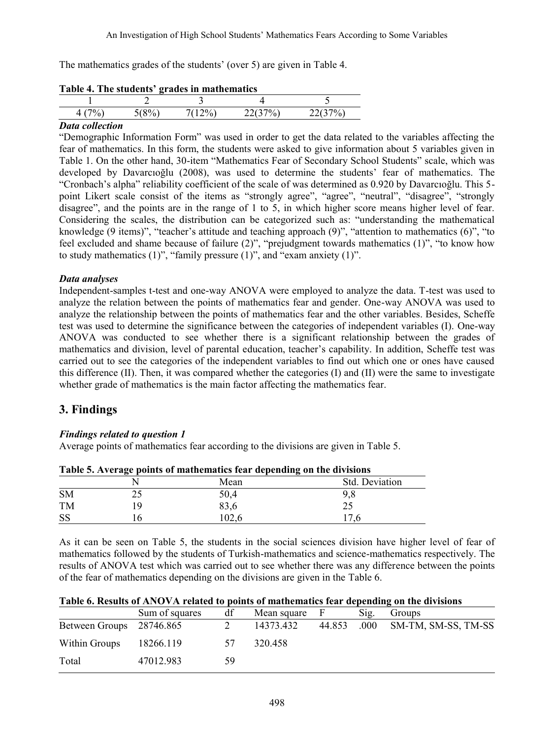The mathematics grades of the students' (over 5) are given in Table 4.

| Table 4. The students grades in mathematics |  |  |
|---------------------------------------------|--|--|
|                                             |  |  |
|                                             |  |  |
|                                             |  |  |

# **Table 4. The students' grades in mathematics**

## *Data collection*

"Demographic Information Form" was used in order to get the data related to the variables affecting the fear of mathematics. In this form, the students were asked to give information about 5 variables given in Table 1. On the other hand, 30-item "Mathematics Fear of Secondary School Students" scale, which was developed by Davarcıoğlu (2008), was used to determine the students' fear of mathematics. The "Cronbach's alpha" reliability coefficient of the scale of was determined as 0.920 by Davarcıoğlu. This 5 point Likert scale consist of the items as "strongly agree", "agree", "neutral", "disagree", "strongly disagree", and the points are in the range of 1 to 5, in which higher score means higher level of fear. Considering the scales, the distribution can be categorized such as: "understanding the mathematical knowledge (9 items)", "teacher's attitude and teaching approach (9)", "attention to mathematics (6)", "to feel excluded and shame because of failure (2)", "prejudgment towards mathematics (1)", "to know how to study mathematics  $(1)$ ", "family pressure  $(1)$ ", and "exam anxiety  $(1)$ ".

#### *Data analyses*

Independent-samples t-test and one-way ANOVA were employed to analyze the data. T-test was used to analyze the relation between the points of mathematics fear and gender. One-way ANOVA was used to analyze the relationship between the points of mathematics fear and the other variables. Besides, Scheffe test was used to determine the significance between the categories of independent variables (I). One-way ANOVA was conducted to see whether there is a significant relationship between the grades of mathematics and division, level of parental education, teacher's capability. In addition, Scheffe test was carried out to see the categories of the independent variables to find out which one or ones have caused this difference (II). Then, it was compared whether the categories (I) and (II) were the same to investigate whether grade of mathematics is the main factor affecting the mathematics fear.

# **3. Findings**

### *Findings related to question 1*

Average points of mathematics fear according to the divisions are given in Table 5.

| Table 5. Average points of mathematics real depending on the divisions |    |       |                |  |  |
|------------------------------------------------------------------------|----|-------|----------------|--|--|
|                                                                        |    | Mean  | Std. Deviation |  |  |
| <b>SM</b>                                                              |    | 50.4  |                |  |  |
| <b>TM</b>                                                              | ١q | 83.6  |                |  |  |
| -SS                                                                    |    | 102.6 |                |  |  |

|  | Table 5. Average points of mathematics fear depending on the divisions |  |
|--|------------------------------------------------------------------------|--|
|  |                                                                        |  |

As it can be seen on Table 5, the students in the social sciences division have higher level of fear of mathematics followed by the students of Turkish-mathematics and science-mathematics respectively. The results of ANOVA test which was carried out to see whether there was any difference between the points of the fear of mathematics depending on the divisions are given in the Table 6.

|                          | Sum of squares | df       | Mean square |        | Sig. | Groups              |
|--------------------------|----------------|----------|-------------|--------|------|---------------------|
| Between Groups 28746.865 |                |          | 14373.432   | 44.853 | .000 | SM-TM, SM-SS, TM-SS |
| Within Groups            | 18266.119      | $\gamma$ | 320.458     |        |      |                     |
| Total                    | 47012.983      | 59       |             |        |      |                     |

#### **Table 6. Results of ANOVA related to points of mathematics fear depending on the divisions**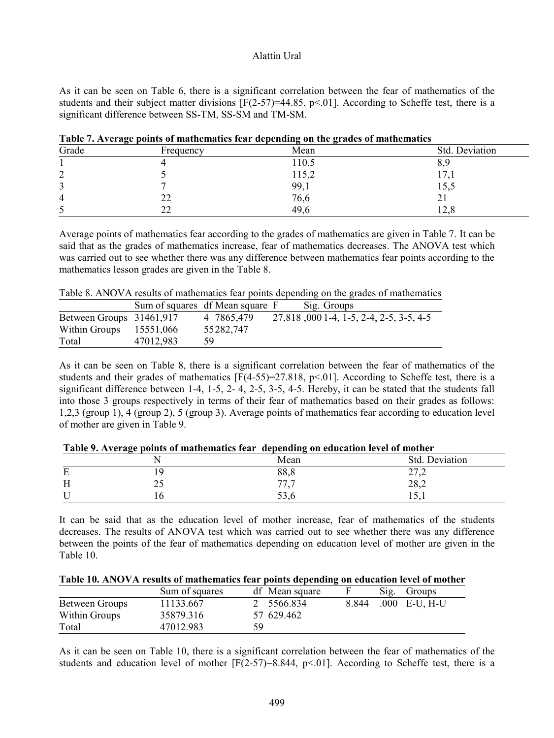As it can be seen on Table 6, there is a significant correlation between the fear of mathematics of the students and their subject matter divisions  $[F(2-57)=44.85, p<0.01]$ . According to Scheffe test, there is a significant difference between SS-TM, SS-SM and TM-SM.

| Grade  | Frequency | Mean  | Std. Deviation |
|--------|-----------|-------|----------------|
|        |           | 110,5 | $\sigma$ .     |
| ◠<br>∠ |           | 115,2 | 11,1           |
| ◠<br>د |           | 99,1  | 15,5           |
| 4      | າາ<br>∠∠  | 76,6  | $\sim$ 1       |
| ر      | າາ        | 49,6  | 14,0           |

**Table 7. Average points of mathematics fear depending on the grades of mathematics**

Average points of mathematics fear according to the grades of mathematics are given in Table 7. It can be said that as the grades of mathematics increase, fear of mathematics decreases. The ANOVA test which was carried out to see whether there was any difference between mathematics fear points according to the mathematics lesson grades are given in the Table 8.

Table 8. ANOVA results of mathematics fear points depending on the grades of mathematics

|                          |           | Sum of squares df Mean square F | Sig. Groups                             |
|--------------------------|-----------|---------------------------------|-----------------------------------------|
| Between Groups 31461,917 |           | 4 7865,479                      | 27,818,000 1-4, 1-5, 2-4, 2-5, 3-5, 4-5 |
| Within Groups            | 15551,066 | 55282,747                       |                                         |
| Total                    | 47012,983 | 59                              |                                         |

As it can be seen on Table 8, there is a significant correlation between the fear of mathematics of the students and their grades of mathematics  $[F(4-55)=27.818, p<0.01]$ . According to Scheffe test, there is a significant difference between 1-4, 1-5, 2- 4, 2-5, 3-5, 4-5. Hereby, it can be stated that the students fall into those 3 groups respectively in terms of their fear of mathematics based on their grades as follows: 1,2,3 (group 1), 4 (group 2), 5 (group 3). Average points of mathematics fear according to education level of mother are given in Table 9.

|   |           | Mean | Std. Deviation |
|---|-----------|------|----------------|
| Е |           | 88,8 | 27.2<br>21,2   |
| Н | ጎሮ<br>ں گ | 77,7 | 28,2           |
|   |           | 33.0 | 1, 1, 1        |

**Table 9. Average points of mathematics fear depending on education level of mother**

It can be said that as the education level of mother increase, fear of mathematics of the students decreases. The results of ANOVA test which was carried out to see whether there was any difference between the points of the fear of mathematics depending on education level of mother are given in the Table 10.

|                | Sum of squares |    | df Mean square | $\mathrm{Sig.}$ | Groups              |
|----------------|----------------|----|----------------|-----------------|---------------------|
| Between Groups | 11133.667      |    | 2 5566.834     |                 | 8.844 .000 E-U, H-U |
| Within Groups  | 35879.316      |    | 57 629.462     |                 |                     |
| Total          | 47012.983      | 59 |                |                 |                     |

As it can be seen on Table 10, there is a significant correlation between the fear of mathematics of the students and education level of mother  $[F(2-57)=8.844, p<0.1]$ . According to Scheffe test, there is a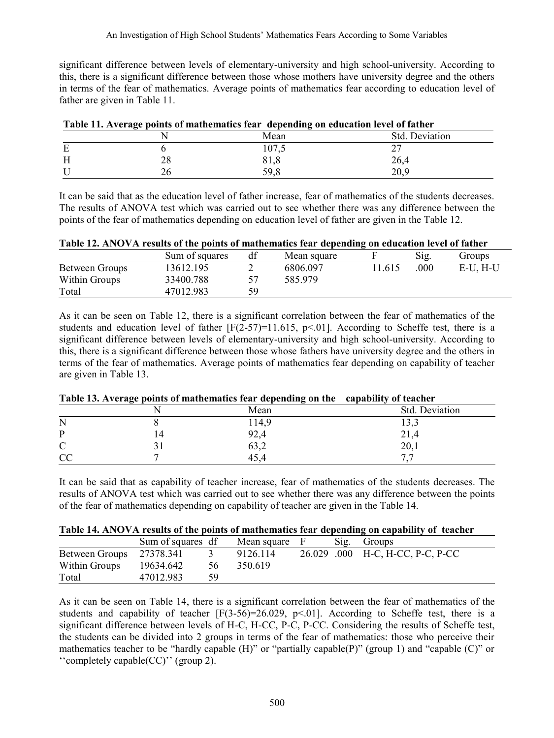significant difference between levels of elementary-university and high school-university. According to this, there is a significant difference between those whose mothers have university degree and the others in terms of the fear of mathematics. Average points of mathematics fear according to education level of father are given in Table 11.

| Table TI, AVERGE points of mathematics ical - acpending on culcation icycl of father<br>Std. Deviation<br>Mean<br>107.5<br>28<br>26,4<br>81.8 |      |      |  |  |  |  |
|-----------------------------------------------------------------------------------------------------------------------------------------------|------|------|--|--|--|--|
|                                                                                                                                               |      |      |  |  |  |  |
|                                                                                                                                               |      |      |  |  |  |  |
|                                                                                                                                               |      |      |  |  |  |  |
|                                                                                                                                               | 59.8 | 20.9 |  |  |  |  |

It can be said that as the education level of father increase, fear of mathematics of the students decreases. The results of ANOVA test which was carried out to see whether there was any difference between the points of the fear of mathematics depending on education level of father are given in the Table 12.

|  |  | Table 12. ANOVA results of the points of mathematics fear depending on education level of father |
|--|--|--------------------------------------------------------------------------------------------------|
|--|--|--------------------------------------------------------------------------------------------------|

|                | Sum of squares | df | Mean square |       | Sig. | Groups  |
|----------------|----------------|----|-------------|-------|------|---------|
| Between Groups | 13612.195      |    | 6806.097    | 1.615 | .000 | E-U.H-U |
| Within Groups  | 33400.788      |    | 585.979     |       |      |         |
| Total          | 47012.983      | 59 |             |       |      |         |

As it can be seen on Table 12, there is a significant correlation between the fear of mathematics of the students and education level of father  $[F(2-57)=11.615, p<0.01]$ . According to Scheffe test, there is a significant difference between levels of elementary-university and high school-university. According to this, there is a significant difference between those whose fathers have university degree and the others in terms of the fear of mathematics. Average points of mathematics fear depending on capability of teacher are given in Table 13.

|    | Table To, Average points of mathematics fear uepenuing on the capability of teacher |                |
|----|-------------------------------------------------------------------------------------|----------------|
|    | Mean                                                                                | Std. Deviation |
| N  | 14,9                                                                                | 13.3           |
| D  | 92.4                                                                                | 21.4           |
|    | JJ, L                                                                               | 20.1           |
| CC | 45.4                                                                                |                |

# **Table 13. Average points of mathematics fear depending on the capability of teacher**

It can be said that as capability of teacher increase, fear of mathematics of the students decreases. The results of ANOVA test which was carried out to see whether there was any difference between the points of the fear of mathematics depending on capability of teacher are given in the Table 14.

|  |  | Table 14. ANOVA results of the points of mathematics fear depending on capability of teacher |  |  |  |
|--|--|----------------------------------------------------------------------------------------------|--|--|--|
|  |  |                                                                                              |  |  |  |

|                          | Sum of squares df |    | Mean square | Sig. | Groups                           |
|--------------------------|-------------------|----|-------------|------|----------------------------------|
| Between Groups 27378.341 |                   |    | 9126.114    |      | 26.029 .000 H-C, H-CC, P-C, P-CC |
| Within Groups            | 19634.642         | 56 | 350.619     |      |                                  |
| Total                    | 47012.983         | 59 |             |      |                                  |

As it can be seen on Table 14, there is a significant correlation between the fear of mathematics of the students and capability of teacher  $[F(3-56)=26.029, p<0.1]$ . According to Scheffe test, there is a significant difference between levels of H-C, H-CC, P-C, P-CC. Considering the results of Scheffe test, the students can be divided into 2 groups in terms of the fear of mathematics: those who perceive their mathematics teacher to be "hardly capable (H)" or "partially capable(P)" (group 1) and "capable (C)" or ''completely capable(CC)'' (group 2).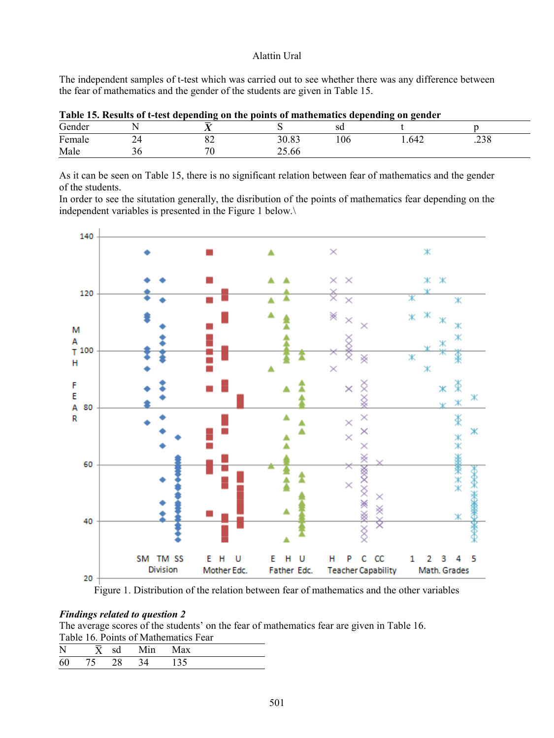The independent samples of t-test which was carried out to see whether there was any difference between the fear of mathematics and the gender of the students are given in Table 15.

| Table 15. Results of t-test depending on the points of mathematics depending on gender |  |    |       |     |      |      |  |  |  |
|----------------------------------------------------------------------------------------|--|----|-------|-----|------|------|--|--|--|
| Gender                                                                                 |  |    |       |     |      |      |  |  |  |
| Female                                                                                 |  |    | 30.83 | .06 | .642 | .238 |  |  |  |
| Male                                                                                   |  | 70 | 25.66 |     |      |      |  |  |  |

|  |  |  | Table 15. Results of t-test depending on the points of mathematics depending on gender |  |
|--|--|--|----------------------------------------------------------------------------------------|--|
|  |  |  |                                                                                        |  |

As it can be seen on Table 15, there is no significant relation between fear of mathematics and the gender of the students.

In order to see the situtation generally, the disribution of the points of mathematics fear depending on the independent variables is presented in the Figure 1 below.\



Figure 1. Distribution of the relation between fear of mathematics and the other variables

### *Findings related to question 2*

The average scores of the students' on the fear of mathematics fear are given in Table 16. Table 16. Points of Mathematics Fear

| $\mathbf{N}$ |    |    |  |  |
|--------------|----|----|--|--|
|              | 75 | 28 |  |  |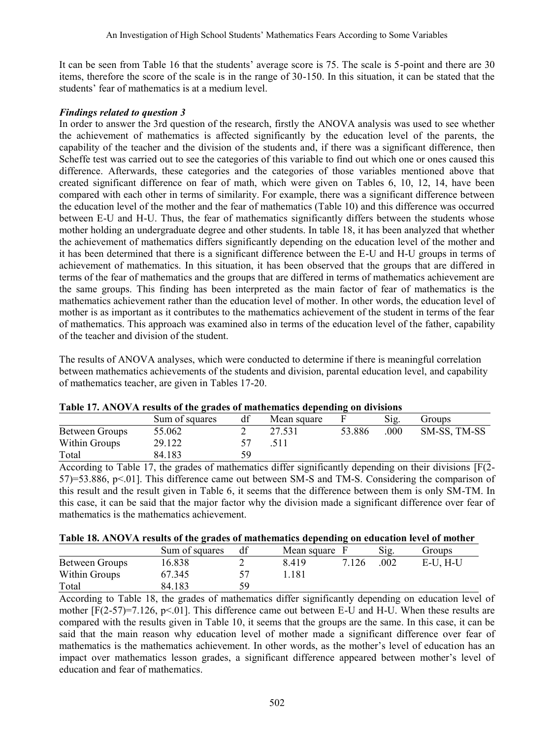It can be seen from Table 16 that the students' average score is 75. The scale is 5-point and there are 30 items, therefore the score of the scale is in the range of 30-150. In this situation, it can be stated that the students' fear of mathematics is at a medium level.

## *Findings related to question 3*

In order to answer the 3rd question of the research, firstly the ANOVA analysis was used to see whether the achievement of mathematics is affected significantly by the education level of the parents, the capability of the teacher and the division of the students and, if there was a significant difference, then Scheffe test was carried out to see the categories of this variable to find out which one or ones caused this difference. Afterwards, these categories and the categories of those variables mentioned above that created significant difference on fear of math, which were given on Tables 6, 10, 12, 14, have been compared with each other in terms of similarity. For example, there was a significant difference between the education level of the mother and the fear of mathematics (Table 10) and this difference was occurred between E-U and H-U. Thus, the fear of mathematics significantly differs between the students whose mother holding an undergraduate degree and other students. In table 18, it has been analyzed that whether the achievement of mathematics differs significantly depending on the education level of the mother and it has been determined that there is a significant difference between the E-U and H-U groups in terms of achievement of mathematics. In this situation, it has been observed that the groups that are differed in terms of the fear of mathematics and the groups that are differed in terms of mathematics achievement are the same groups. This finding has been interpreted as the main factor of fear of mathematics is the mathematics achievement rather than the education level of mother. In other words, the education level of mother is as important as it contributes to the mathematics achievement of the student in terms of the fear of mathematics. This approach was examined also in terms of the education level of the father, capability of the teacher and division of the student.

The results of ANOVA analyses, which were conducted to determine if there is meaningful correlation between mathematics achievements of the students and division, parental education level, and capability of mathematics teacher, are given in Tables 17-20.

|                | Sum of squares | df | Mean square |        | Sig. | Groups       |
|----------------|----------------|----|-------------|--------|------|--------------|
| Between Groups | 55.062         |    | 27.531      | 53.886 | .000 | SM-SS, TM-SS |
| Within Groups  | 29.122         |    | .511        |        |      |              |
| Total          | 84.183         | 59 |             |        |      |              |

According to Table 17, the grades of mathematics differ significantly depending on their divisions [F(2- 57)=53.886, p<.01]. This difference came out between SM-S and TM-S. Considering the comparison of this result and the result given in Table 6, it seems that the difference between them is only SM-TM. In this case, it can be said that the major factor why the division made a significant difference over fear of mathematics is the mathematics achievement.

|  |  |  | Table 18. ANOVA results of the grades of mathematics depending on education level of mother |
|--|--|--|---------------------------------------------------------------------------------------------|
|--|--|--|---------------------------------------------------------------------------------------------|

|                | Sum of squares | df | Mean square |       | Sig. | Groups  |
|----------------|----------------|----|-------------|-------|------|---------|
| Between Groups | 16.838         |    | 8419        | 7.126 | .002 | E-U.H-U |
| Within Groups  | 67.345         |    | .181        |       |      |         |
| Total          | 84.183         | 59 |             |       |      |         |

According to Table 18, the grades of mathematics differ significantly depending on education level of mother  $[F(2-57)=7.126, p<0.01]$ . This difference came out between E-U and H-U. When these results are compared with the results given in Table 10, it seems that the groups are the same. In this case, it can be said that the main reason why education level of mother made a significant difference over fear of mathematics is the mathematics achievement. In other words, as the mother's level of education has an impact over mathematics lesson grades, a significant difference appeared between mother's level of education and fear of mathematics.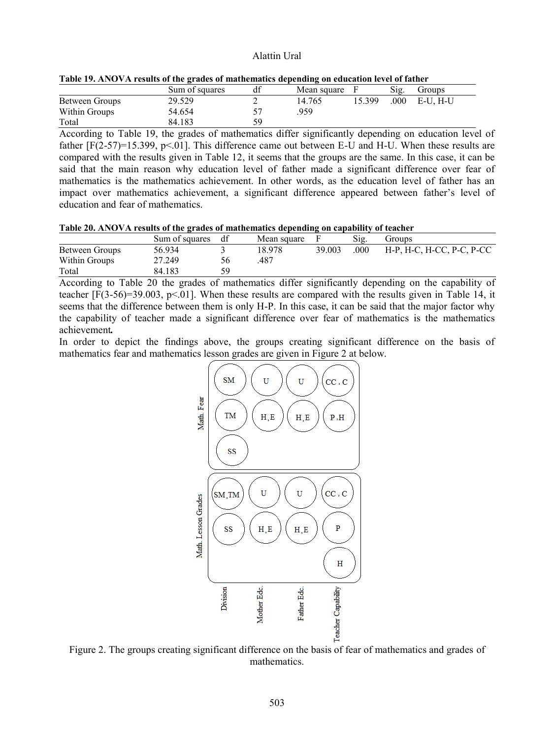| Thore I'm interest the country of the country of mathematics appending on concurrent force of named |                |    |               |        |      |          |  |
|-----------------------------------------------------------------------------------------------------|----------------|----|---------------|--------|------|----------|--|
|                                                                                                     | Sum of squares | df | Mean square F |        | Sig. | Groups   |  |
| Between Groups                                                                                      | 29.529         |    | 14.765        | 15.399 | .000 | E-U. H-U |  |
| Within Groups                                                                                       | 54.654         |    | 959           |        |      |          |  |
| Total                                                                                               | 84.183         | 59 |               |        |      |          |  |

| Table 19. ANOVA results of the grades of mathematics depending on education level of father |  |  |
|---------------------------------------------------------------------------------------------|--|--|
|---------------------------------------------------------------------------------------------|--|--|

According to Table 19, the grades of mathematics differ significantly depending on education level of father  $[F(2-57)=15.399, p<0.01]$ . This difference came out between E-U and H-U. When these results are compared with the results given in Table 12, it seems that the groups are the same. In this case, it can be said that the main reason why education level of father made a significant difference over fear of mathematics is the mathematics achievement. In other words, as the education level of father has an impact over mathematics achievement, a significant difference appeared between father's level of education and fear of mathematics.

|  |  | Table 20. ANOVA results of the grades of mathematics depending on capability of teacher |
|--|--|-----------------------------------------------------------------------------------------|
|  |  |                                                                                         |

|                | Sum of squares df | Mean square |        | S12. | Groups                    |
|----------------|-------------------|-------------|--------|------|---------------------------|
| Between Groups | 56.934            | 18 978      | 39.003 | .000 | H-P, H-C, H-CC, P-C, P-CC |
| Within Groups  | 27.249            | 487         |        |      |                           |
| Total          | 84.183            |             |        |      |                           |

According to Table 20 the grades of mathematics differ significantly depending on the capability of teacher [F(3-56)=39.003, p<.01]. When these results are compared with the results given in Table 14, it seems that the difference between them is only H-P. In this case, it can be said that the major factor why the capability of teacher made a significant difference over fear of mathematics is the mathematics achievement*.* 

In order to depict the findings above, the groups creating significant difference on the basis of mathematics fear and mathematics lesson grades are given in Figure 2 at below.



Figure 2. The groups creating significant difference on the basis of fear of mathematics and grades of mathematics.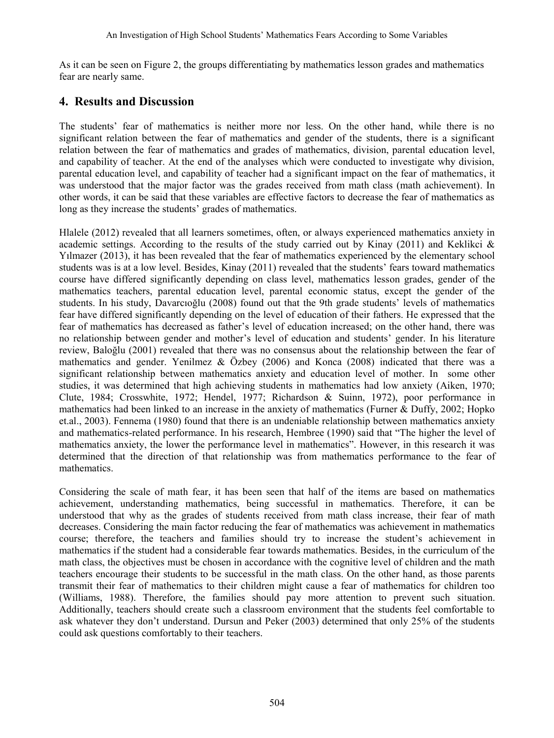As it can be seen on Figure 2, the groups differentiating by mathematics lesson grades and mathematics fear are nearly same.

# **4. Results and Discussion**

The students' fear of mathematics is neither more nor less. On the other hand, while there is no significant relation between the fear of mathematics and gender of the students, there is a significant relation between the fear of mathematics and grades of mathematics, division, parental education level, and capability of teacher. At the end of the analyses which were conducted to investigate why division, parental education level, and capability of teacher had a significant impact on the fear of mathematics, it was understood that the major factor was the grades received from math class (math achievement). In other words, it can be said that these variables are effective factors to decrease the fear of mathematics as long as they increase the students' grades of mathematics.

Hlalele (2012) revealed that all learners sometimes, often, or always experienced mathematics anxiety in academic settings. According to the results of the study carried out by Kinay (2011) and Keklikci  $\&$ Yılmazer (2013), it has been revealed that the fear of mathematics experienced by the elementary school students was is at a low level. Besides, Kinay (2011) revealed that the students' fears toward mathematics course have differed significantly depending on class level, mathematics lesson grades, gender of the mathematics teachers, parental education level, parental economic status, except the gender of the students. In his study, Davarcıoğlu (2008) found out that the 9th grade students' levels of mathematics fear have differed significantly depending on the level of education of their fathers. He expressed that the fear of mathematics has decreased as father's level of education increased; on the other hand, there was no relationship between gender and mother's level of education and students' gender. In his literature review, Baloğlu (2001) revealed that there was no consensus about the relationship between the fear of mathematics and gender. Yenilmez & Özbey (2006) and Konca (2008) indicated that there was a significant relationship between mathematics anxiety and education level of mother. In some other studies, it was determined that high achieving students in mathematics had low anxiety (Aiken, 1970; Clute, 1984; Crosswhite, 1972; Hendel, 1977; Richardson & Suinn, 1972), poor performance in mathematics had been linked to an increase in the anxiety of mathematics (Furner & Duffy, 2002; Hopko et.al., 2003). Fennema (1980) found that there is an undeniable relationship between mathematics anxiety and mathematics-related performance. In his research, Hembree (1990) said that "The higher the level of mathematics anxiety, the lower the performance level in mathematics". However, in this research it was determined that the direction of that relationship was from mathematics performance to the fear of mathematics.

Considering the scale of math fear, it has been seen that half of the items are based on mathematics achievement, understanding mathematics, being successful in mathematics. Therefore, it can be understood that why as the grades of students received from math class increase, their fear of math decreases. Considering the main factor reducing the fear of mathematics was achievement in mathematics course; therefore, the teachers and families should try to increase the student's achievement in mathematics if the student had a considerable fear towards mathematics. Besides, in the curriculum of the math class, the objectives must be chosen in accordance with the cognitive level of children and the math teachers encourage their students to be successful in the math class. On the other hand, as those parents transmit their fear of mathematics to their children might cause a fear of mathematics for children too (Williams, 1988). Therefore, the families should pay more attention to prevent such situation. Additionally, teachers should create such a classroom environment that the students feel comfortable to ask whatever they don't understand. Dursun and Peker (2003) determined that only 25% of the students could ask questions comfortably to their teachers.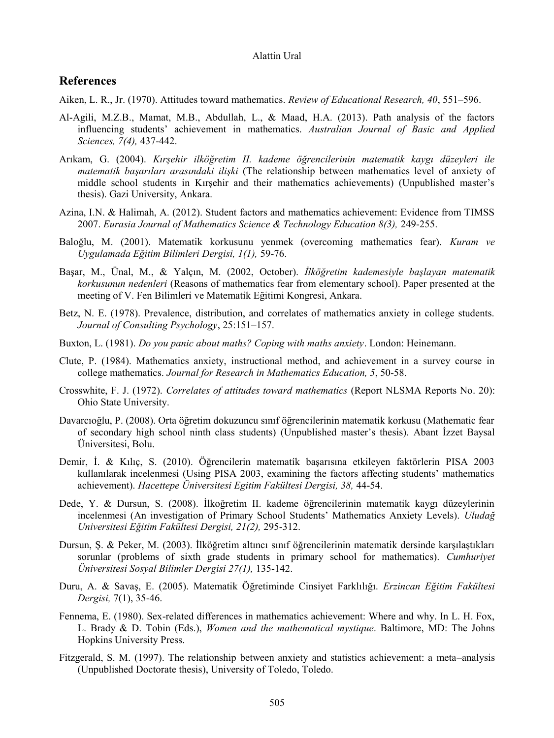# **References**

- Aiken, L. R., Jr. (1970). Attitudes toward mathematics. *Review of Educational Research, 40*, 551–596.
- Al-Agili, M.Z.B., Mamat, M.B., Abdullah, L., & Maad, H.A. (2013). Path analysis of the factors influencing students' achievement in mathematics. *Australian Journal of Basic and Applied Sciences, 7(4),* 437-442.
- Arıkam, G. (2004). *Kırşehir ilköğretim II. kademe öğrencilerinin matematik kaygı düzeyleri ile matematik başarıları arasındaki ilişki* (The relationship between mathematics level of anxiety of middle school students in Kırşehir and their mathematics achievements) (Unpublished master's thesis). Gazi University, Ankara.
- Azina, I.N. & Halimah, A. (2012). Student factors and mathematics achievement: Evidence from TIMSS 2007. *Eurasia Journal of Mathematics Science & Technology Education 8(3),* 249-255.
- Baloğlu, M. (2001). Matematik korkusunu yenmek (overcoming mathematics fear). *Kuram ve Uygulamada Eğitim Bilimleri Dergisi, 1(1),* 59-76.
- Başar, M., Ünal, M., & Yalçın, M. (2002, October). *İlköğretim kademesiyle başlayan matematik korkusunun nedenleri* (Reasons of mathematics fear from elementary school). Paper presented at the meeting of V. Fen Bilimleri ve Matematik Eğitimi Kongresi, Ankara.
- Betz, N. E. (1978). Prevalence, distribution, and correlates of mathematics anxiety in college students. *Journal of Consulting Psychology*, 25:151–157.
- Buxton, L. (1981). *Do you panic about maths? Coping with maths anxiety*. London: Heinemann.
- Clute, P. (1984). Mathematics anxiety, instructional method, and achievement in a survey course in college mathematics. *Journal for Research in Mathematics Education, 5*, 50-58.
- Crosswhite, F. J. (1972). *Correlates of attitudes toward mathematics* (Report NLSMA Reports No. 20): Ohio State University.
- Davarcıoğlu, P. (2008). Orta öğretim dokuzuncu sınıf öğrencilerinin matematik korkusu (Mathematic fear of secondary high school ninth class students) (Unpublished master's thesis). Abant İzzet Baysal Üniversitesi, Bolu.
- Demir, İ. & Kılıç, S. (2010). Öğrencilerin matematík başarısına etkileyen faktörlerin PISA 2003 kullanılarak incelenmesi (Using PISA 2003, examining the factors affecting students' mathematics achievement). *Hacettepe Üniversitesi Egitim Fakültesi Dergisi, 38,* 44-54.
- Dede, Y. & Dursun, S. (2008). İlkoğretim II. kademe öğrencilerinin matematik kaygı düzeylerinin incelenmesi (An investigation of Primary School Students' Mathematics Anxiety Levels). *Uludağ Universitesi Eğitim Fakültesi Dergisi, 21(2),* 295-312.
- Dursun, Ş. & Peker, M. (2003). İlköğretim altıncı sınıf öğrencilerinin matematik dersinde karşılaştıkları sorunlar (problems of sixth grade students in primary school for mathematics). *Cumhuriyet Üniversitesi Sosyal Bilimler Dergisi 27(1),* 135-142.
- Duru, A. & Savaş, E. (2005). Matematik Öğretiminde Cinsiyet Farklılığı. *Erzincan Eğitim Fakültesi Dergisi,* 7(1), 35-46.
- Fennema, E. (1980). Sex-related differences in mathematics achievement: Where and why. In L. H. Fox, L. Brady & D. Tobin (Eds.), *Women and the mathematical mystique*. Baltimore, MD: The Johns Hopkins University Press.
- Fitzgerald, S. M. (1997). The relationship between anxiety and statistics achievement: a meta–analysis (Unpublished Doctorate thesis), University of Toledo, Toledo.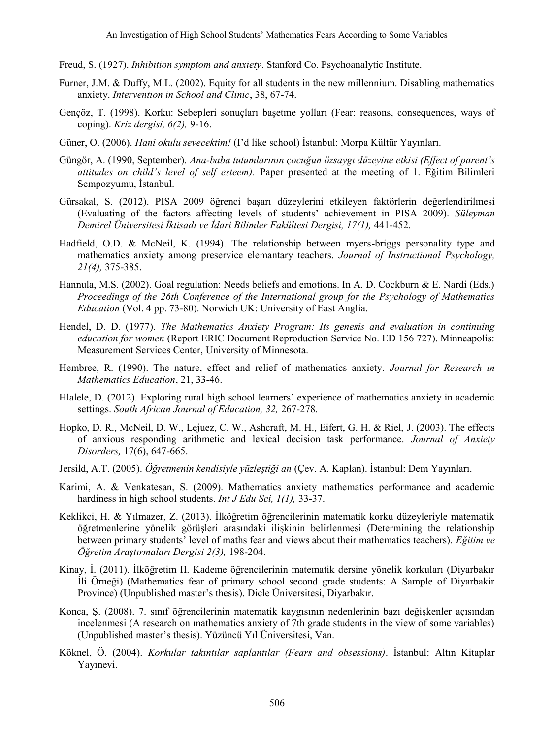Freud, S. (1927). *Inhibition symptom and anxiety*. Stanford Co. Psychoanalytic Institute.

- Furner, J.M. & Duffy, M.L. (2002). Equity for all students in the new millennium. Disabling mathematics anxiety. *Intervention in School and Clinic*, 38, 67-74.
- Gençöz, T. (1998). Korku: Sebepleri sonuçları başetme yolları (Fear: reasons, consequences, ways of coping). *Kriz dergisi, 6(2),* 9-16.
- Güner, O. (2006). *Hani okulu sevecektim!* (I'd like school) İstanbul: Morpa Kültür Yayınları.
- Güngör, A. (1990, September). *Ana-baba tutumlarının çocuğun özsaygı düzeyine etkisi (Effect of parent's attitudes on child's level of self esteem).* Paper presented at the meeting of 1. Eğitim Bilimleri Sempozyumu, İstanbul.
- Gürsakal, S. (2012). PISA 2009 öğrenci başarı düzeylerini etkileyen faktörlerin değerlendirilmesi (Evaluating of the factors affecting levels of students' achievement in PISA 2009). *Süleyman Demirel Üniversitesi İktisadi ve İdari Bilimler Fakültesi Dergisi, 17(1),* 441-452.
- Hadfield, O.D. & McNeil, K. (1994). The relationship between myers-briggs personality type and mathematics anxiety among preservice elemantary teachers. *Journal of Instructional Psychology, 21(4),* 375-385.
- Hannula, M.S. (2002). Goal regulation: Needs beliefs and emotions. In A. D. Cockburn & E. Nardi (Eds.) *Proceedings of the 26th Conference of the International group for the Psychology of Mathematics Education* (Vol. 4 pp. 73-80). Norwich UK: University of East Anglia.
- Hendel, D. D. (1977). *The Mathematics Anxiety Program: Its genesis and evaluation in continuing education for women* (Report ERIC Document Reproduction Service No. ED 156 727). Minneapolis: Measurement Services Center, University of Minnesota.
- Hembree, R. (1990). The nature, effect and relief of mathematics anxiety. *Journal for Research in Mathematics Education*, 21, 33-46.
- Hlalele, D. (2012). Exploring rural high school learners' experience of mathematics anxiety in academic settings. *South African Journal of Education, 32,* 267-278.
- Hopko, D. R., McNeil, D. W., Lejuez, C. W., Ashcraft, M. H., Eifert, G. H. & Riel, J. (2003). The effects of anxious responding arithmetic and lexical decision task performance. *Journal of Anxiety Disorders,* 17(6), 647-665.
- Jersild, A.T. (2005). *Öğretmenin kendisiyle yüzleştiği an* (Çev. A. Kaplan). İstanbul: Dem Yayınları.
- Karimi, A. & Venkatesan, S. (2009). Mathematics anxiety mathematics performance and academic hardiness in high school students. *Int J Edu Sci, 1(1),* 33-37.
- Keklikci, H. & Yılmazer, Z. (2013). İlköğretim öğrencilerinin matematik korku düzeyleriyle matematik öğretmenlerine yönelik görüşleri arasındaki ilişkinin belirlenmesi (Determining the relationship between primary students' level of maths fear and views about their mathematics teachers). *Eğitim ve Öğretim Araştırmaları Dergisi 2(3),* 198-204.
- Kinay, İ. (2011). İlköğretim II. Kademe öğrencilerinin matematik dersine yönelik korkuları (Diyarbakır İli Örneği) (Mathematics fear of primary school second grade students: A Sample of Diyarbakir Province) (Unpublished master's thesis). Dicle Üniversitesi, Diyarbakır.
- Konca, Ş. (2008). 7. sınıf öğrencilerinin matematik kaygısının nedenlerinin bazı değişkenler açısından incelenmesi (A research on mathematics anxiety of 7th grade students in the view of some variables) (Unpublished master's thesis). Yüzüncü Yıl Üniversitesi, Van.
- Köknel, Ö. (2004). *Korkular takıntılar saplantılar (Fears and obsessions)*. İstanbul: Altın Kitaplar Yayınevi.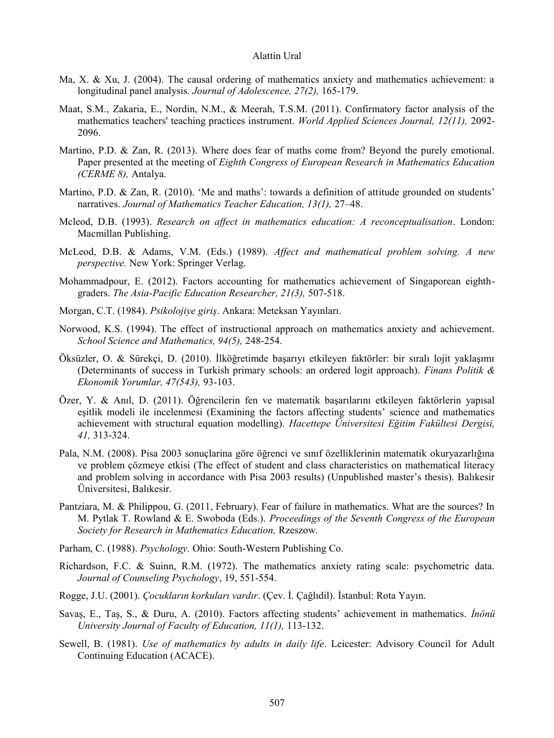- Ma, X. & Xu, J. (2004). The causal ordering of mathematics anxiety and mathematics achievement: a longitudinal panel analysis. *Journal of Adolescence, 27(2),* 165-179.
- Maat, S.M., Zakaria, E., Nordin, N.M., & Meerah, T.S.M. (2011). Confirmatory factor analysis of the mathematics teachers' teaching practices instrument. *World Applied Sciences Journal, 12(11),* 2092- 2096.
- Martino, P.D. & Zan, R. (2013). Where does fear of maths come from? Beyond the purely emotional. Paper presented at the meeting of *Eighth Congress of European Research in Mathematics Education (CERME 8),* Antalya.
- Martino, P.D. & Zan, R. (2010). 'Me and maths': towards a definition of attitude grounded on students' narratives. *Journal of Mathematics Teacher Education, 13(1),* 27–48.
- Mcleod, D.B. (1993). *Research on affect in mathematics education: A reconceptualisation*. London: Macmillan Publishing.
- McLeod, D.B. & Adams, V.M. (Eds.) (1989). *Affect and mathematical problem solving. A new perspective.* New York: Springer Verlag.
- Mohammadpour, E. (2012). Factors accounting for mathematics achievement of Singaporean eighthgraders. *The Asia-Pacific Education Researcher, 21(3),* 507-518.
- Morgan, C.T. (1984). *Psikolojiye giriş*. Ankara: Meteksan Yayınları.
- Norwood, K.S. (1994). The effect of instructional approach on mathematics anxiety and achievement. *School Science and Mathematics, 94(5),* 248-254.
- Öksüzler, O. & Sürekçi, D. (2010). İlköğretimde başarıyı etkileyen faktörler: bir sıralı lojit yaklaşımı (Determinants of success in Turkish primary schools: an ordered logit approach). *Finans Politik & Ekonomik Yorumlar, 47(543),* 93-103.
- Özer, Y. & Anıl, D. (2011). Öğrencilerin fen ve matematik başarılarını etkileyen faktörlerin yapısal eşitlik modeli ile incelenmesi (Examining the factors affecting students' science and mathematics achievement with structural equation modelling). *Hacettepe Üniversitesi Eğitim Fakültesi Dergisi, 41,* 313-324.
- Pala, N.M. (2008). Pisa 2003 sonuçlarina göre öğrenci ve sınıf özelliklerinin matematik okuryazarlığına ve problem çözmeye etkisi (The effect of student and class characteristics on mathematical literacy and problem solving in accordance with Pisa 2003 results) (Unpublished master's thesis). Balıkesir Üniversitesi, Balıkesir.
- Pantziara, M. & Philippou, G. (2011, February). Fear of failure in mathematics. What are the sources? In M. Pytlak T. Rowland & E. Swoboda (Eds.). *Proceedings of the Seventh Congress of the European Society for Research in Mathematics Education,* Rzeszow.
- Parham, C. (1988). *Psychology.* Ohio: South-Western Publishing Co.
- Richardson, F.C. & Suinn, R.M. (1972). The mathematics anxiety rating scale: psychometric data. *Journal of Counseling Psychology*, 19, 551-554.
- Rogge, J.U. (2001). *Çocukların korkuları vardır*. (Çev. İ. Çağlıdil). İstanbul: Rota Yayın.
- Savaş, E., Taş, S., & Duru, A. (2010). Factors affecting students' achievement in mathematics. *İnönü University Journal of Faculty of Education, 11(1),* 113-132.
- Sewell, B. (1981). *Use of mathematics by adults in daily life*. Leicester: Advisory Council for Adult Continuing Education (ACACE).